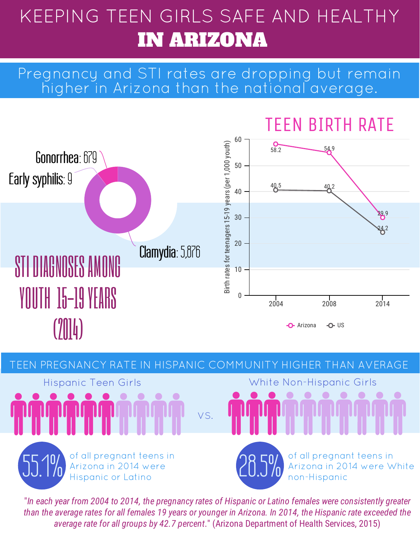# KEEPING TEEN GIRLS SAFE AND HEALTHY IN ARIZONA

#### Pregnancy and STI rates are dropping but remain higher in Arizona than the national average.





"In each year from 2004 to 2014, the pregnancy rates of Hispanic or Latino females were consistently greater than the average rates for all females 19 years or younger in Arizona. In 2014, the Hispanic rate exceeded the average rate for all groups by 42.7 percent." (Arizona Department of Health Services, 2015)